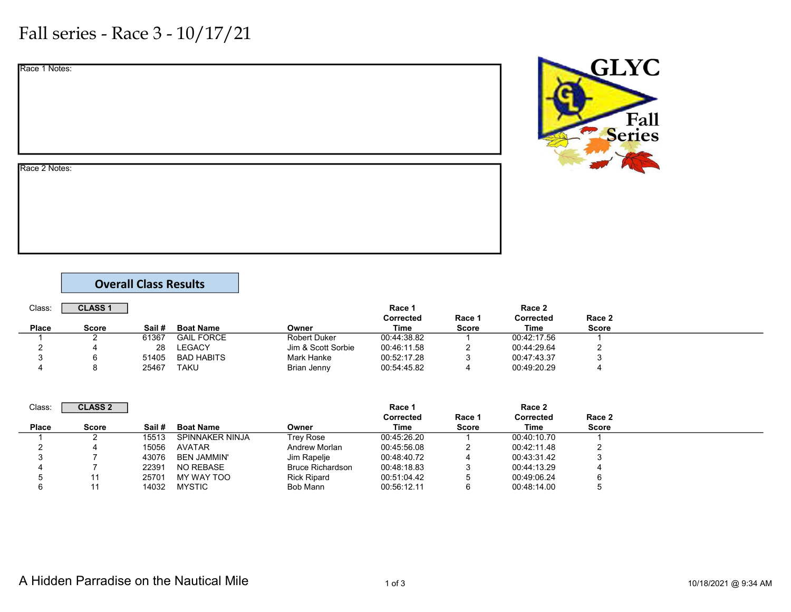# Fall series - Race 3 - 10/17/21

| Race 1 Notes: |  |
|---------------|--|
|---------------|--|



### Race 2 Notes:

## Overall Class Results

| Class:       | <b>CLASS 1</b> |       |                   |                     | Race 1            |                 | Race 2            |                 |  |
|--------------|----------------|-------|-------------------|---------------------|-------------------|-----------------|-------------------|-----------------|--|
| <b>Place</b> | Score          | Sail# | <b>Boat Name</b>  | Owner               | Corrected<br>Time | Race 1<br>Score | Corrected<br>Time | Race 2<br>Score |  |
|              |                | 61367 | <b>GAIL FORCE</b> | <b>Robert Duker</b> | 00:44:38.82       |                 | 00:42:17.56       |                 |  |
|              |                | 28    | LEGACY            | Jim & Scott Sorbie  | 00:46:11.58       |                 | 00:44:29.64       |                 |  |
|              |                | 51405 | <b>BAD HABITS</b> | Mark Hanke          | 00:52:17.28       |                 | 00:47:43.37       |                 |  |
|              |                | 25467 | TAKU              | Brian Jenny         | 00:54:45.82       |                 | 00:49:20.29       |                 |  |

| Class:       | <b>CLASS 2</b> |        |                        |                         | Race 1      |              | Race 2      |        |  |
|--------------|----------------|--------|------------------------|-------------------------|-------------|--------------|-------------|--------|--|
|              |                |        |                        |                         | Corrected   | Race 1       | Corrected   | Race 2 |  |
| <b>Place</b> | Score          | Sail # | <b>Boat Name</b>       | Owner                   | Time        | <b>Score</b> | Time        | Score  |  |
|              |                | 15513  | <b>SPINNAKER NINJA</b> | Trev Rose               | 00:45:26.20 |              | 00:40:10.70 |        |  |
|              |                | 15056  | AVATAR                 | Andrew Morlan           | 00:45:56.08 |              | 00:42:11.48 |        |  |
|              |                | 43076  | <b>BEN JAMMIN'</b>     | Jim Rapelje             | 00:48:40.72 |              | 00:43:31.42 |        |  |
|              |                | 22391  | <b>NO REBASE</b>       | <b>Bruce Richardson</b> | 00:48:18.83 |              | 00:44:13.29 |        |  |
|              |                | 25701  | MY WAY TOO             | <b>Rick Ripard</b>      | 00:51:04.42 |              | 00:49:06.24 | 6      |  |
|              |                | 14032  | MYSTIC                 | Bob Mann                | 00:56:12.11 |              | 00:48:14.00 |        |  |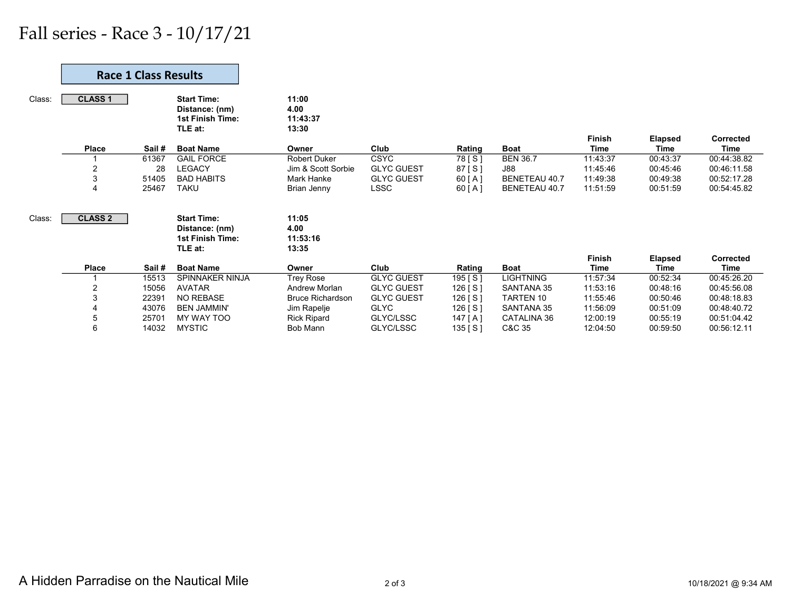# Fall series - Race 3 - 10/17/21

|        | <b>Race 1 Class Results</b> |       |                                                                            |                                    |                   |                     |                  |               |                |                  |
|--------|-----------------------------|-------|----------------------------------------------------------------------------|------------------------------------|-------------------|---------------------|------------------|---------------|----------------|------------------|
| Class: | <b>CLASS 1</b>              |       | <b>Start Time:</b><br>Distance: (nm)<br><b>1st Finish Time:</b><br>TLE at: | 11:00<br>4.00<br>11:43:37<br>13:30 |                   |                     |                  | Finish        | <b>Elapsed</b> | <b>Corrected</b> |
|        | <b>Place</b>                | Sail# | <b>Boat Name</b>                                                           | Owner                              | Club              | Rating              | <b>Boat</b>      | <b>Time</b>   | Time           | Time             |
|        |                             | 61367 | <b>GAIL FORCE</b>                                                          | <b>Robert Duker</b>                | <b>CSYC</b>       | $\overline{78}$ [S] | <b>BEN 36.7</b>  | 11:43:37      | 00:43:37       | 00:44:38.82      |
|        | $\overline{2}$              | 28    | <b>LEGACY</b>                                                              | Jim & Scott Sorbie                 | <b>GLYC GUEST</b> | 87 [ S ]            | <b>J88</b>       | 11:45:46      | 00:45:46       | 00:46:11.58      |
|        | 3                           | 51405 | <b>BAD HABITS</b>                                                          | Mark Hanke                         | <b>GLYC GUEST</b> | 60[A]               | BENETEAU 40.7    | 11:49:38      | 00:49:38       | 00:52:17.28      |
|        | $\overline{4}$              | 25467 | <b>TAKU</b>                                                                | Brian Jenny                        | <b>LSSC</b>       | 60 [A]              | BENETEAU 40.7    | 11:51:59      | 00:51:59       | 00:54:45.82      |
| Class: | <b>CLASS 2</b>              |       | <b>Start Time:</b><br>Distance: (nm)<br><b>1st Finish Time:</b><br>TLE at: | 11:05<br>4.00<br>11:53:16<br>13:35 |                   |                     |                  |               |                |                  |
|        |                             |       |                                                                            |                                    |                   |                     |                  | <b>Finish</b> | <b>Elapsed</b> | Corrected        |
|        | <b>Place</b>                | Sail# | <b>Boat Name</b>                                                           | Owner                              | Club              | Rating              | <b>Boat</b>      | Time          | Time           | <b>Time</b>      |
|        |                             | 15513 | SPINNAKER NINJA                                                            | <b>Trey Rose</b>                   | <b>GLYC GUEST</b> | 195 [ S ]           | <b>LIGHTNING</b> | 11:57:34      | 00:52:34       | 00:45:26.20      |
|        | $\overline{2}$              | 15056 | <b>AVATAR</b>                                                              | Andrew Morlan                      | <b>GLYC GUEST</b> | 126 [S]             | SANTANA 35       | 11:53:16      | 00:48:16       | 00:45:56.08      |
|        | 3                           | 22391 | <b>NO REBASE</b>                                                           | <b>Bruce Richardson</b>            | <b>GLYC GUEST</b> | 126 [S]             | TARTEN 10        | 11:55:46      | 00:50:46       | 00:48:18.83      |
|        | 4                           | 43076 | <b>BEN JAMMIN'</b>                                                         | Jim Rapelje                        | <b>GLYC</b>       | 126 [S]             | SANTANA 35       | 11:56:09      | 00:51:09       | 00:48:40.72      |
|        | 5                           | 25701 | MY WAY TOO                                                                 | <b>Rick Ripard</b>                 | GLYC/LSSC         | 147 [A]             | CATALINA 36      | 12:00:19      | 00:55:19       | 00:51:04.42      |
|        | 6                           | 14032 | <b>MYSTIC</b>                                                              | <b>Bob Mann</b>                    | GLYC/LSSC         | 135 [S]             | C&C 35           | 12:04:50      | 00:59:50       | 00:56:12.11      |